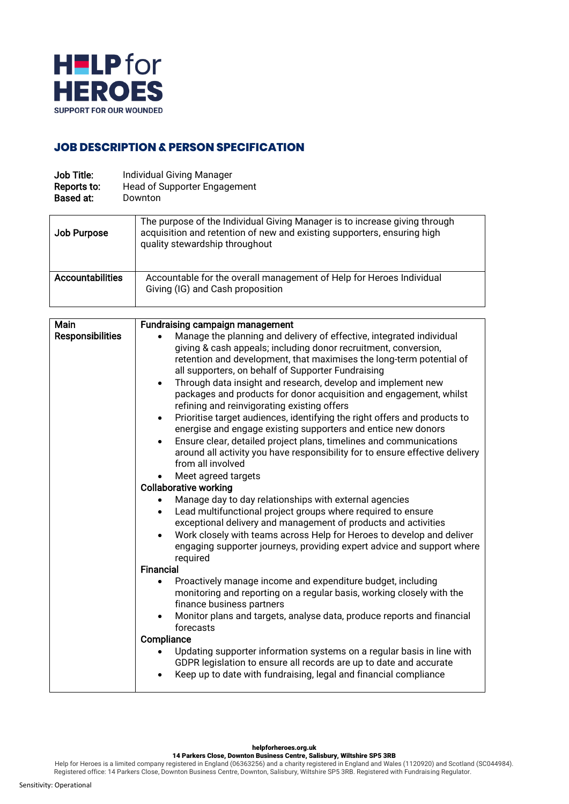

## **JOB DESCRIPTION & PERSON SPECIFICATION**

| Job Title:  | <b>Individual Giving Manager</b>    |
|-------------|-------------------------------------|
| Reports to: | <b>Head of Supporter Engagement</b> |
| Based at:   | Downton                             |

| Job Purpose             | The purpose of the Individual Giving Manager is to increase giving through<br>acquisition and retention of new and existing supporters, ensuring high<br>quality stewardship throughout |
|-------------------------|-----------------------------------------------------------------------------------------------------------------------------------------------------------------------------------------|
| <b>Accountabilities</b> | Accountable for the overall management of Help for Heroes Individual<br>Giving (IG) and Cash proposition                                                                                |

| Main                    | Fundraising campaign management                                                                                                                                         |
|-------------------------|-------------------------------------------------------------------------------------------------------------------------------------------------------------------------|
| <b>Responsibilities</b> | Manage the planning and delivery of effective, integrated individual                                                                                                    |
|                         | giving & cash appeals; including donor recruitment, conversion,                                                                                                         |
|                         | retention and development, that maximises the long-term potential of                                                                                                    |
|                         | all supporters, on behalf of Supporter Fundraising                                                                                                                      |
|                         | Through data insight and research, develop and implement new<br>$\bullet$                                                                                               |
|                         | packages and products for donor acquisition and engagement, whilst<br>refining and reinvigorating existing offers                                                       |
|                         | Prioritise target audiences, identifying the right offers and products to<br>$\bullet$<br>energise and engage existing supporters and entice new donors                 |
|                         | Ensure clear, detailed project plans, timelines and communications<br>around all activity you have responsibility for to ensure effective delivery<br>from all involved |
|                         | Meet agreed targets                                                                                                                                                     |
|                         | <b>Collaborative working</b>                                                                                                                                            |
|                         | Manage day to day relationships with external agencies                                                                                                                  |
|                         | Lead multifunctional project groups where required to ensure                                                                                                            |
|                         | exceptional delivery and management of products and activities                                                                                                          |
|                         | Work closely with teams across Help for Heroes to develop and deliver                                                                                                   |
|                         | engaging supporter journeys, providing expert advice and support where<br>required                                                                                      |
|                         | <b>Financial</b>                                                                                                                                                        |
|                         | Proactively manage income and expenditure budget, including                                                                                                             |
|                         | monitoring and reporting on a regular basis, working closely with the<br>finance business partners                                                                      |
|                         | Monitor plans and targets, analyse data, produce reports and financial                                                                                                  |
|                         | forecasts                                                                                                                                                               |
|                         | Compliance                                                                                                                                                              |
|                         | Updating supporter information systems on a regular basis in line with                                                                                                  |
|                         | GDPR legislation to ensure all records are up to date and accurate                                                                                                      |
|                         | Keep up to date with fundraising, legal and financial compliance                                                                                                        |